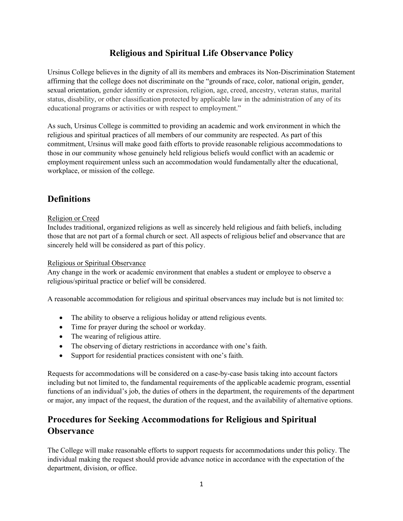## **Religious and Spiritual Life Observance Policy**

 Ursinus College believes in the dignity of all its members and embraces its Non-Discrimination Statement sexual orientation, gender identity or expression, religion, age, creed, ancestry, veteran status, marital status, disability, or other classification protected by applicable law in the administration of any of its educational programs or activities or with respect to employment." affirming that the college does not discriminate on the "grounds of race, color, national origin, gender,

 As such, Ursinus College is committed to providing an academic and work environment in which the religious and spiritual practices of all members of our community are respected. As part of this commitment, Ursinus will make good faith efforts to provide reasonable religious accommodations to those in our community whose genuinely held religious beliefs would conflict with an academic or employment requirement unless such an accommodation would fundamentally alter the educational, workplace, or mission of the college.

# **Definitions**

### Religion or Creed

Includes traditional, organized religions as well as sincerely held religious and faith beliefs, including those that are not part of a formal church or sect. All aspects of religious belief and observance that are sincerely held will be considered as part of this policy.

### Religious or Spiritual Observance

 Any change in the work or academic environment that enables a student or employee to observe a religious/spiritual practice or belief will be considered.

A reasonable accommodation for religious and spiritual observances may include but is not limited to:

- The ability to observe a religious holiday or attend religious events.
- Time for prayer during the school or workday.
- The wearing of religious attire.
- The observing of dietary restrictions in accordance with one's faith.
- Support for residential practices consistent with one's faith.

 Requests for accommodations will be considered on a case-by-case basis taking into account factors or major, any impact of the request, the duration of the request, and the availability of alternative options. including but not limited to, the fundamental requirements of the applicable academic program, essential functions of an individual's job, the duties of others in the department, the requirements of the department

## **Procedures for Seeking Accommodations for Religious and Spiritual Observance**

 The College will make reasonable efforts to support requests for accommodations under this policy. The individual making the request should provide advance notice in accordance with the expectation of the department, division, or office.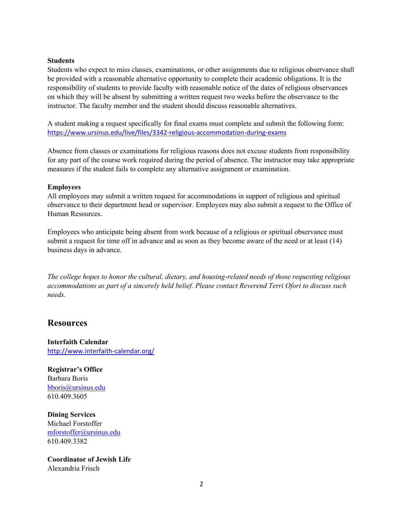#### **Students**

 Students who expect to miss classes, examinations, or other assignments due to religious observance shall on which they will be absent by submitting a written request two weeks before the observance to the be provided with a reasonable alternative opportunity to complete their academic obligations. It is the responsibility of students to provide faculty with reasonable notice of the dates of religious observances instructor. The faculty member and the student should discuss reasonable alternatives.

 A student making a request specifically for final exams must complete and submit the following form: <https://www.ursinus.edu/live/files/3342-religious-accommodation-during-exams>

 Absence from classes or examinations for religious reasons does not excuse students from responsibility measures if the student fails to complete any alternative assignment or examination. for any part of the course work required during the period of absence. The instructor may take appropriate

#### **Employees**

 All employees may submit a written request for accommodations in support of religious and spiritual observance to their department head or supervisor. Employees may also submit a request to the Office of Human Resources.

 Employees who anticipate being absent from work because of a religious or spiritual observance must business days in advance. submit a request for time off in advance and as soon as they become aware of the need or at least (14)

 *accommodations as part of a sincerely held belief. Please contact Reverend Terri Ofori to discuss such The college hopes to honor the cultural, dietary, and housing-related needs of those requesting religious needs.* 

### **Resources**

**Interfaith Calendar**  <http://www.interfaith-calendar.org>/

 Barbara Boris **Registrar's Office**  [bboris@ursinus.edu](mailto:bboris@ursinus.edu) 610.409.3605

**Dining Services**  Michael Forstoffer [mforstoffer@ursinus.edu](mailto:mforstoffer@ursinus.edu)  610.409.3382

 **Coordinator of Jewish Life**  Alexandria Frisch